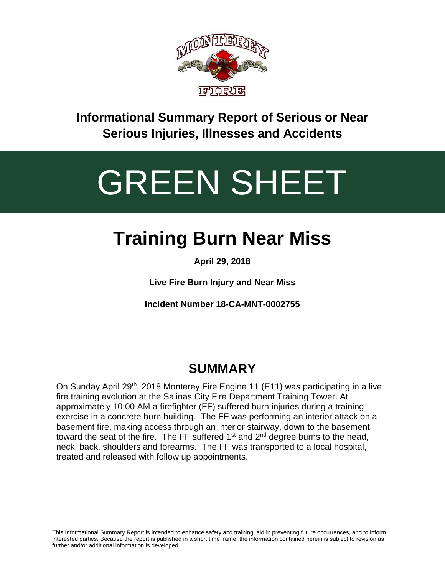

**Informational Summary Report of Serious or Near Serious Injuries, Illnesses and Accidents**

# GREEN SHEET

# **Training Burn Near Miss**

**April 29, 2018**

**Live Fire Burn Injury and Near Miss**

**Incident Number 18-CA-MNT-0002755**

## **SUMMARY**

On Sunday April 29<sup>th</sup>, 2018 Monterey Fire Engine 11 (E11) was participating in a live fire training evolution at the Salinas City Fire Department Training Tower. At approximately 10:00 AM a firefighter (FF) suffered burn injuries during a training exercise in a concrete burn building. The FF was performing an interior attack on a basement fire, making access through an interior stairway, down to the basement toward the seat of the fire. The FF suffered  $1<sup>st</sup>$  and  $2<sup>nd</sup>$  degree burns to the head, neck, back, shoulders and forearms. The FF was transported to a local hospital, treated and released with follow up appointments.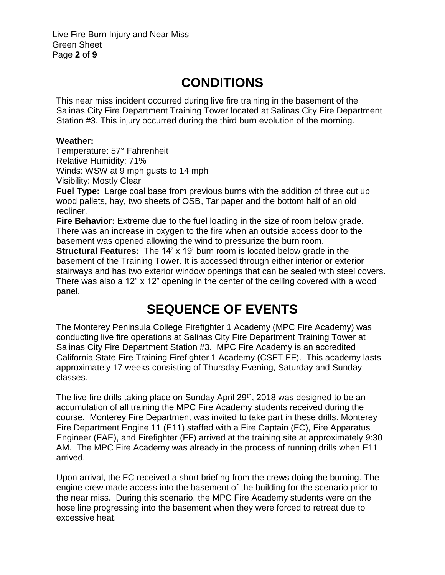Live Fire Burn Injury and Near Miss Green Sheet Page **2** of **9**

### **CONDITIONS**

This near miss incident occurred during live fire training in the basement of the Salinas City Fire Department Training Tower located at Salinas City Fire Department Station #3. This injury occurred during the third burn evolution of the morning.

#### **Weather:**

Temperature: 57° Fahrenheit Relative Humidity: 71% Winds: WSW at 9 mph gusts to 14 mph Visibility: Mostly Clear

**Fuel Type:** Large coal base from previous burns with the addition of three cut up wood pallets, hay, two sheets of OSB, Tar paper and the bottom half of an old recliner.

**Fire Behavior:** Extreme due to the fuel loading in the size of room below grade. There was an increase in oxygen to the fire when an outside access door to the basement was opened allowing the wind to pressurize the burn room.

**Structural Features:** The 14' x 19' burn room is located below grade in the basement of the Training Tower. It is accessed through either interior or exterior stairways and has two exterior window openings that can be sealed with steel covers. There was also a 12" x 12" opening in the center of the ceiling covered with a wood panel.

### **SEQUENCE OF EVENTS**

The Monterey Peninsula College Firefighter 1 Academy (MPC Fire Academy) was conducting live fire operations at Salinas City Fire Department Training Tower at Salinas City Fire Department Station #3. MPC Fire Academy is an accredited California State Fire Training Firefighter 1 Academy (CSFT FF). This academy lasts approximately 17 weeks consisting of Thursday Evening, Saturday and Sunday classes.

The live fire drills taking place on Sunday April 29<sup>th</sup>, 2018 was designed to be an accumulation of all training the MPC Fire Academy students received during the course. Monterey Fire Department was invited to take part in these drills. Monterey Fire Department Engine 11 (E11) staffed with a Fire Captain (FC), Fire Apparatus Engineer (FAE), and Firefighter (FF) arrived at the training site at approximately 9:30 AM. The MPC Fire Academy was already in the process of running drills when E11 arrived.

Upon arrival, the FC received a short briefing from the crews doing the burning. The engine crew made access into the basement of the building for the scenario prior to the near miss. During this scenario, the MPC Fire Academy students were on the hose line progressing into the basement when they were forced to retreat due to excessive heat.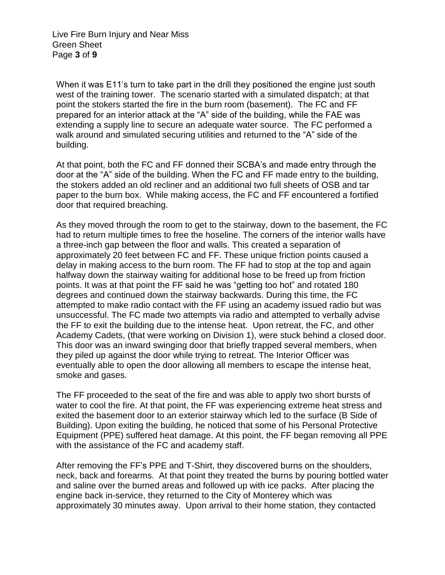Live Fire Burn Injury and Near Miss Green Sheet Page **3** of **9**

When it was E11's turn to take part in the drill they positioned the engine just south west of the training tower. The scenario started with a simulated dispatch; at that point the stokers started the fire in the burn room (basement). The FC and FF prepared for an interior attack at the "A" side of the building, while the FAE was extending a supply line to secure an adequate water source. The FC performed a walk around and simulated securing utilities and returned to the "A" side of the building.

At that point, both the FC and FF donned their SCBA's and made entry through the door at the "A" side of the building. When the FC and FF made entry to the building, the stokers added an old recliner and an additional two full sheets of OSB and tar paper to the burn box. While making access, the FC and FF encountered a fortified door that required breaching.

As they moved through the room to get to the stairway, down to the basement, the FC had to return multiple times to free the hoseline. The corners of the interior walls have a three-inch gap between the floor and walls. This created a separation of approximately 20 feet between FC and FF. These unique friction points caused a delay in making access to the burn room. The FF had to stop at the top and again halfway down the stairway waiting for additional hose to be freed up from friction points. It was at that point the FF said he was "getting too hot" and rotated 180 degrees and continued down the stairway backwards. During this time, the FC attempted to make radio contact with the FF using an academy issued radio but was unsuccessful. The FC made two attempts via radio and attempted to verbally advise the FF to exit the building due to the intense heat. Upon retreat, the FC, and other Academy Cadets, (that were working on Division 1), were stuck behind a closed door. This door was an inward swinging door that briefly trapped several members, when they piled up against the door while trying to retreat. The Interior Officer was eventually able to open the door allowing all members to escape the intense heat, smoke and gases.

The FF proceeded to the seat of the fire and was able to apply two short bursts of water to cool the fire. At that point, the FF was experiencing extreme heat stress and exited the basement door to an exterior stairway which led to the surface (B Side of Building). Upon exiting the building, he noticed that some of his Personal Protective Equipment (PPE) suffered heat damage. At this point, the FF began removing all PPE with the assistance of the FC and academy staff.

After removing the FF's PPE and T-Shirt, they discovered burns on the shoulders, neck, back and forearms. At that point they treated the burns by pouring bottled water and saline over the burned areas and followed up with ice packs. After placing the engine back in-service, they returned to the City of Monterey which was approximately 30 minutes away. Upon arrival to their home station, they contacted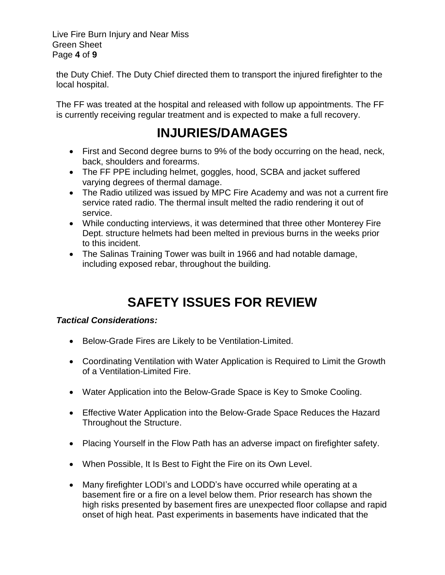Live Fire Burn Injury and Near Miss Green Sheet Page **4** of **9**

the Duty Chief. The Duty Chief directed them to transport the injured firefighter to the local hospital.

The FF was treated at the hospital and released with follow up appointments. The FF is currently receiving regular treatment and is expected to make a full recovery.

#### **INJURIES/DAMAGES**

- First and Second degree burns to 9% of the body occurring on the head, neck, back, shoulders and forearms.
- The FF PPE including helmet, goggles, hood, SCBA and jacket suffered varying degrees of thermal damage.
- The Radio utilized was issued by MPC Fire Academy and was not a current fire service rated radio. The thermal insult melted the radio rendering it out of service.
- While conducting interviews, it was determined that three other Monterey Fire Dept. structure helmets had been melted in previous burns in the weeks prior to this incident.
- The Salinas Training Tower was built in 1966 and had notable damage, including exposed rebar, throughout the building.

# **SAFETY ISSUES FOR REVIEW**

#### *Tactical Considerations:*

- Below-Grade Fires are Likely to be Ventilation-Limited.
- Coordinating Ventilation with Water Application is Required to Limit the Growth of a Ventilation-Limited Fire.
- Water Application into the Below-Grade Space is Key to Smoke Cooling.
- Effective Water Application into the Below-Grade Space Reduces the Hazard Throughout the Structure.
- Placing Yourself in the Flow Path has an adverse impact on firefighter safety.
- When Possible, It Is Best to Fight the Fire on its Own Level.
- Many firefighter LODI's and LODD's have occurred while operating at a basement fire or a fire on a level below them. Prior research has shown the high risks presented by basement fires are unexpected floor collapse and rapid onset of high heat. Past experiments in basements have indicated that the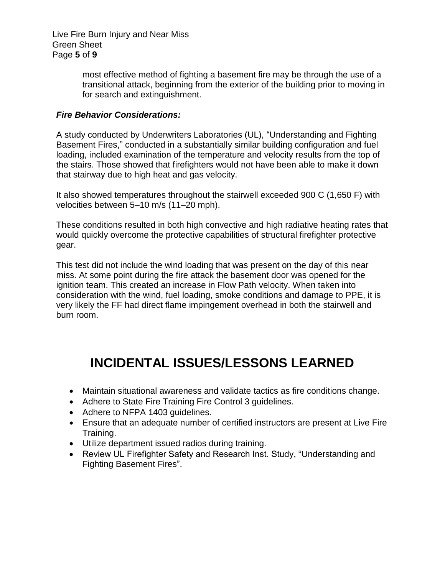Live Fire Burn Injury and Near Miss Green Sheet Page **5** of **9**

> most effective method of fighting a basement fire may be through the use of a transitional attack, beginning from the exterior of the building prior to moving in for search and extinguishment.

#### *Fire Behavior Considerations:*

A study conducted by Underwriters Laboratories (UL), "Understanding and Fighting Basement Fires," conducted in a substantially similar building configuration and fuel loading, included examination of the temperature and velocity results from the top of the stairs. Those showed that firefighters would not have been able to make it down that stairway due to high heat and gas velocity.

It also showed temperatures throughout the stairwell exceeded 900 C (1,650 F) with velocities between 5–10 m/s (11–20 mph).

These conditions resulted in both high convective and high radiative heating rates that would quickly overcome the protective capabilities of structural firefighter protective gear.

This test did not include the wind loading that was present on the day of this near miss. At some point during the fire attack the basement door was opened for the ignition team. This created an increase in Flow Path velocity. When taken into consideration with the wind, fuel loading, smoke conditions and damage to PPE, it is very likely the FF had direct flame impingement overhead in both the stairwell and burn room.

### **INCIDENTAL ISSUES/LESSONS LEARNED**

- Maintain situational awareness and validate tactics as fire conditions change.
- Adhere to State Fire Training Fire Control 3 guidelines.
- Adhere to NFPA 1403 guidelines.
- Ensure that an adequate number of certified instructors are present at Live Fire Training.
- Utilize department issued radios during training.
- Review UL Firefighter Safety and Research Inst. Study, "Understanding and Fighting Basement Fires".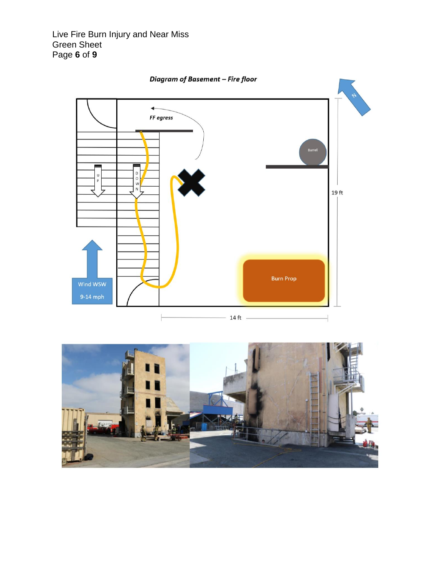Live Fire Burn Injury and Near Miss Green Sheet Page **6** of **9**



Diagram of Basement - Fire floor

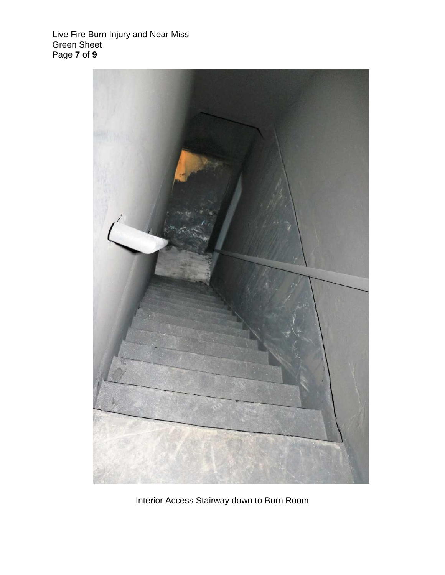Live Fire Burn Injury and Near Miss Green Sheet Page **7** of **9**



Interior Access Stairway down to Burn Room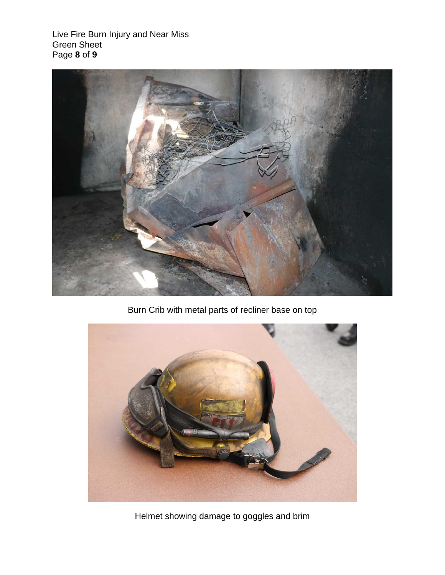Live Fire Burn Injury and Near Miss Green Sheet Page **8** of **9**



Burn Crib with metal parts of recliner base on top



Helmet showing damage to goggles and brim